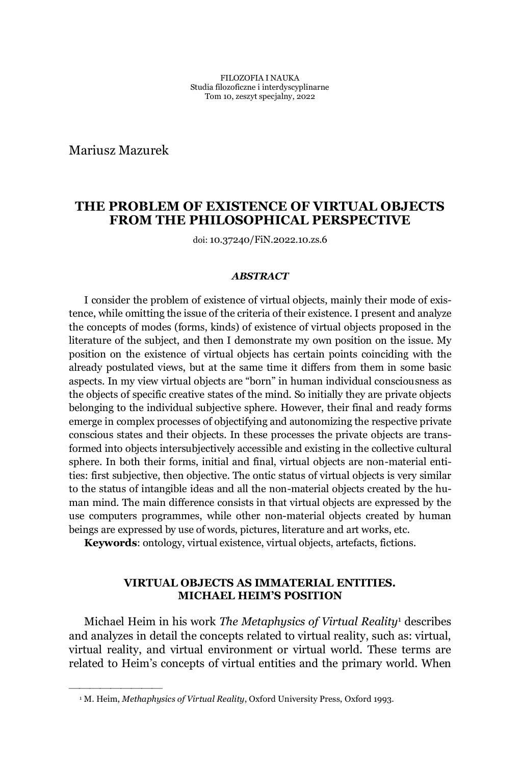Mariusz Mazurek

²²²²²²²²²

# **THE PROBLEM OF EXISTENCE OF VIRTUAL OBJECTS FROM THE PHILOSOPHICAL PERSPECTIVE**

doi: 10.37240/FiN.2022.10.zs.6

#### *ABSTRACT*

I consider the problem of existence of virtual objects, mainly their mode of existence, while omitting the issue of the criteria of their existence. I present and analyze the concepts of modes (forms, kinds) of existence of virtual objects proposed in the literature of the subject, and then I demonstrate my own position on the issue. My position on the existence of virtual objects has certain points coinciding with the already postulated views, but at the same time it differs from them in some basic aspects. In my view virtual objects are "born" in human individual consciousness as the objects of specific creative states of the mind. So initially they are private objects belonging to the individual subjective sphere. However, their final and ready forms emerge in complex processes of objectifying and autonomizing the respective private conscious states and their objects. In these processes the private objects are transformed into objects intersubjectively accessible and existing in the collective cultural sphere. In both their forms, initial and final, virtual objects are non-material entities: first subjective, then objective. The ontic status of virtual objects is very similar to the status of intangible ideas and all the non-material objects created by the human mind. The main difference consists in that virtual objects are expressed by the use computers programmes, while other non-material objects created by human beings are expressed by use of words, pictures, literature and art works, etc.

**Keywords**: ontology, virtual existence, virtual objects, artefacts, fictions.

# **VIRTUAL OBJECTS AS IMMATERIAL ENTITIES. MICHAEL HEIM'S POSITION**

Michael Heim in his work *The Metaphysics of Virtual Reality*<sup>1</sup> describes and analyzes in detail the concepts related to virtual reality, such as: virtual, virtual reality, and virtual environment or virtual world. These terms are related to Heim's concepts of virtual entities and the primary world. When

<sup>&</sup>lt;sup>1</sup> M. Heim, *Methaphysics of Virtual Reality*, Oxford University Press, Oxford 1993.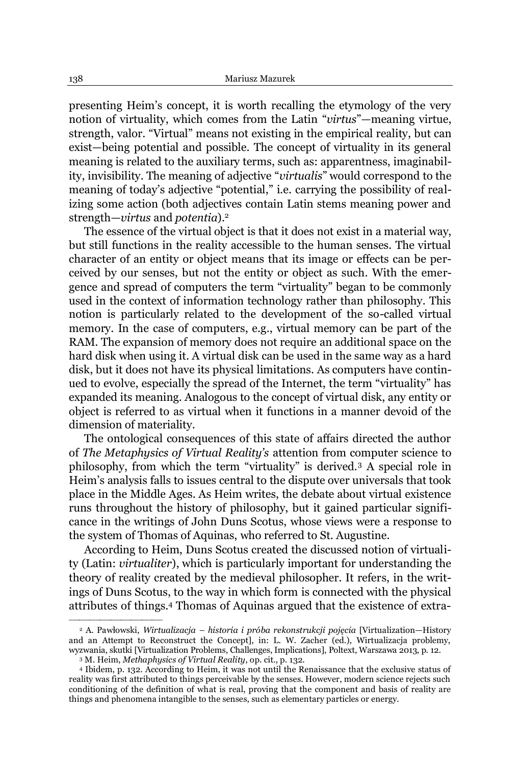presenting Heim's concept, it is worth recalling the etymology of the very notion of virtuality, which comes from the Latin "*virtus*"—meaning virtue, strength, valor. "Virtual" means not existing in the empirical reality, but can exist-being potential and possible. The concept of virtuality in its general meaning is related to the auxiliary terms, such as: apparentness, imaginability, invisibility. The meaning of adjective "*virtualis*" would correspond to the meaning of today's adjective "potential," i.e. carrying the possibility of realizing some action (both adjectives contain Latin stems meaning power and strength—*virtus* and *potentia*).<sup>2</sup>

The essence of the virtual object is that it does not exist in a material way, but still functions in the reality accessible to the human senses. The virtual character of an entity or object means that its image or effects can be perceived by our senses, but not the entity or object as such. With the emergence and spread of computers the term "virtuality" began to be commonly used in the context of information technology rather than philosophy. This notion is particularly related to the development of the so-called virtual memory. In the case of computers, e.g., virtual memory can be part of the RAM. The expansion of memory does not require an additional space on the hard disk when using it. A virtual disk can be used in the same way as a hard disk, but it does not have its physical limitations. As computers have continued to evolve, especially the spread of the Internet, the term "virtuality" has expanded its meaning. Analogous to the concept of virtual disk, any entity or object is referred to as virtual when it functions in a manner devoid of the dimension of materiality.

The ontological consequences of this state of affairs directed the author of *The Metaphysics of Virtual Reality's* attention from computer science to philosophy, from which the term "virtuality" is derived.<sup>3</sup> A special role in Heim's analysis falls to issues central to the dispute over universals that took place in the Middle Ages. As Heim writes, the debate about virtual existence runs throughout the history of philosophy, but it gained particular significance in the writings of John Duns Scotus, whose views were a response to the system of Thomas of Aquinas, who referred to St. Augustine.

According to Heim, Duns Scotus created the discussed notion of virtuality (Latin: *virtualiter*), which is particularly important for understanding the theory of reality created by the medieval philosopher. It refers, in the writings of Duns Scotus, to the way in which form is connected with the physical attributes of things.4 Thomas of Aquinas argued that the existence of extra-

<sup>&</sup>lt;sup>2</sup> A. Pawłowski, Wirtualizacja – historia i próba rekonstrukcji pojęcia [Virtualization–History and an Attempt to Reconstruct the Concept], in: L. W. Zacher (ed.), Wirtualizacja problemy, wyzwania, skutki [Virtualization Problems, Challenges, Implications], Poltext, Warszawa 2013, p. 12.

<sup>3</sup> M. Heim, *Methaphysics of Virtual Reality*, op. cit., p. 132.

<sup>4</sup> Ibidem, p. 132. According to Heim, it was not until the Renaissance that the exclusive status of reality was first attributed to things perceivable by the senses. However, modern science rejects such conditioning of the definition of what is real, proving that the component and basis of reality are things and phenomena intangible to the senses, such as elementary particles or energy.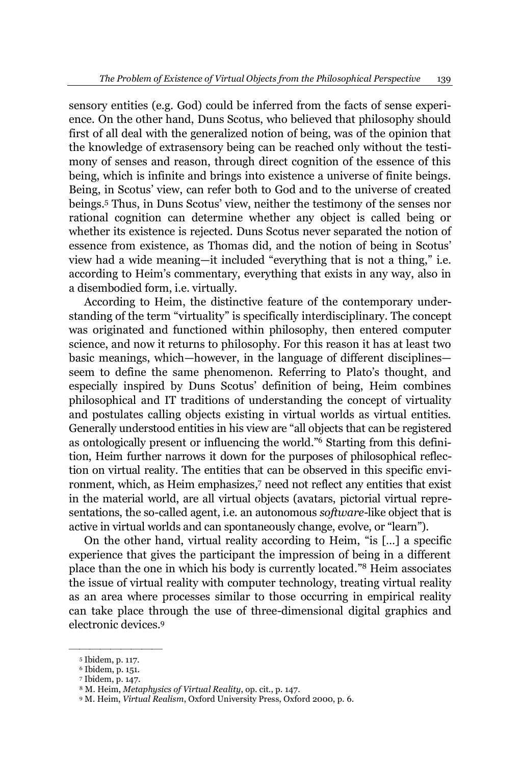sensory entities (e.g. God) could be inferred from the facts of sense experience. On the other hand, Duns Scotus, who believed that philosophy should first of all deal with the generalized notion of being, was of the opinion that the knowledge of extrasensory being can be reached only without the testimony of senses and reason, through direct cognition of the essence of this being, which is infinite and brings into existence a universe of finite beings. Being, in Scotus' view, can refer both to God and to the universe of created beings.<sup>5</sup> Thus, in Duns Scotus' view, neither the testimony of the senses nor rational cognition can determine whether any object is called being or whether its existence is rejected. Duns Scotus never separated the notion of essence from existence, as Thomas did, and the notion of being in Scotus' view had a wide meaning—it included "everything that is not a thing," i.e. according to Heim's commentary, everything that exists in any way, also in a disembodied form, i.e. virtually.

According to Heim, the distinctive feature of the contemporary understanding of the term "virtuality" is specifically interdisciplinary. The concept was originated and functioned within philosophy, then entered computer science, and now it returns to philosophy. For this reason it has at least two basic meanings, which—however, in the language of different disciplines seem to define the same phenomenon. Referring to Plato's thought, and especially inspired by Duns Scotus' definition of being, Heim combines philosophical and IT traditions of understanding the concept of virtuality and postulates calling objects existing in virtual worlds as virtual entities. Generally understood entities in his view are "all objects that can be registered as ontologically present or influencing the world.<sup>76</sup> Starting from this definition, Heim further narrows it down for the purposes of philosophical reflection on virtual reality. The entities that can be observed in this specific environment, which, as Heim emphasizes, <sup>7</sup> need not reflect any entities that exist in the material world, are all virtual objects (avatars, pictorial virtual representations, the so-called agent, i.e. an autonomous *software*-like object that is active in virtual worlds and can spontaneously change, evolve, or "learn").

On the other hand, virtual reality according to Heim, "is  $\lceil ... \rceil$  a specific experience that gives the participant the impression of being in a different place than the one in which his body is currently located.<sup>"8</sup> Heim associates the issue of virtual reality with computer technology, treating virtual reality as an area where processes similar to those occurring in empirical reality can take place through the use of three-dimensional digital graphics and electronic devices.9

²²²²²²²²² <sup>5</sup> Ibidem, p. 117.

<sup>6</sup> Ibidem, p. 151.

<sup>7</sup> Ibidem, p. 147.

<sup>8</sup> M. Heim, *Metaphysics of Virtual Reality*, op. cit., p. 147.

<sup>9</sup> M. Heim, *Virtual Realism*, Oxford University Press, Oxford 2000, p. 6.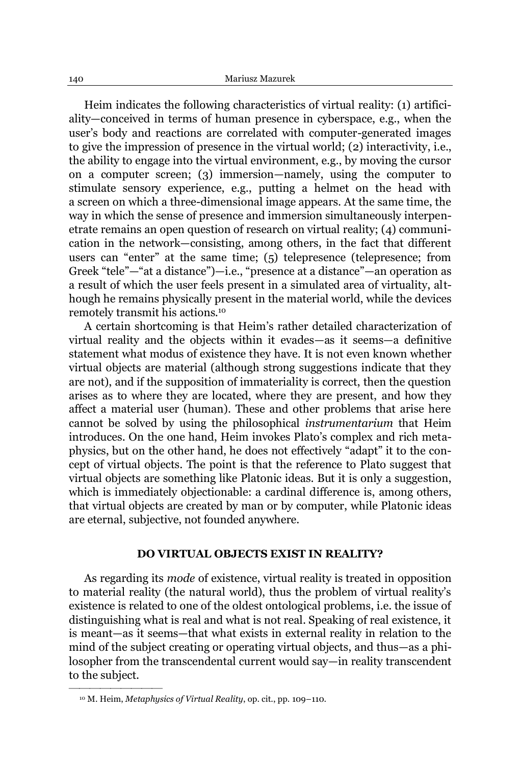Heim indicates the following characteristics of virtual reality: (1) artificiality-conceived in terms of human presence in cyberspace, e.g., when the user's body and reactions are correlated with computer-generated images to give the impression of presence in the virtual world; (2) interactivity, i.e., the ability to engage into the virtual environment, e.g., by moving the cursor on a computer screen; (3) immersion—namely, using the computer to stimulate sensory experience, e.g., putting a helmet on the head with a screen on which a three-dimensional image appears. At the same time, the way in which the sense of presence and immersion simultaneously interpenetrate remains an open question of research on virtual reality; (4) communication in the network—consisting, among others, in the fact that different users can "enter" at the same time;  $(5)$  telepresence (telepresence; from Greek "tele"—"at a distance")—i.e., "presence at a distance"—an operation as a result of which the user feels present in a simulated area of virtuality, although he remains physically present in the material world, while the devices remotely transmit his actions.10

A certain shortcoming is that Heim's rather detailed characterization of virtual reality and the objects within it evades—as it seems—a definitive statement what modus of existence they have. It is not even known whether virtual objects are material (although strong suggestions indicate that they are not), and if the supposition of immateriality is correct, then the question arises as to where they are located, where they are present, and how they affect a material user (human). These and other problems that arise here cannot be solved by using the philosophical *instrumentarium* that Heim introduces. On the one hand, Heim invokes Plato's complex and rich metaphysics, but on the other hand, he does not effectively "adapt" it to the concept of virtual objects. The point is that the reference to Plato suggest that virtual objects are something like Platonic ideas. But it is only a suggestion, which is immediately objectionable: a cardinal difference is, among others, that virtual objects are created by man or by computer, while Platonic ideas are eternal, subjective, not founded anywhere.

### **DO VIRTUAL OBJECTS EXIST IN REALITY?**

As regarding its *mode* of existence, virtual reality is treated in opposition to material reality (the natural world), thus the problem of virtual reality's existence is related to one of the oldest ontological problems, i.e. the issue of distinguishing what is real and what is not real. Speaking of real existence, it is meant—as it seems—that what exists in external reality in relation to the mind of the subject creating or operating virtual objects, and thus—as a philosopher from the transcendental current would say—in reality transcendent to the subject.

<sup>&</sup>lt;sup>10</sup> M. Heim, *Metaphysics of Virtual Reality*, op. cit., pp. 109-110.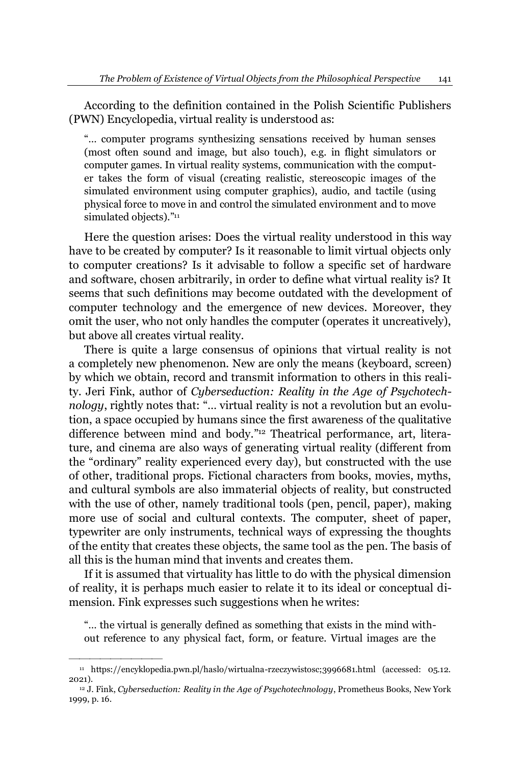According to the definition contained in the Polish Scientific Publishers (PWN) Encyclopedia, virtual reality is understood as:

"... computer programs synthesizing sensations received by human senses (most often sound and image, but also touch), e.g. in flight simulators or computer games. In virtual reality systems, communication with the computer takes the form of visual (creating realistic, stereoscopic images of the simulated environment using computer graphics), audio, and tactile (using physical force to move in and control the simulated environment and to move simulated objects)."<sup>11</sup>

Here the question arises: Does the virtual reality understood in this way have to be created by computer? Is it reasonable to limit virtual objects only to computer creations? Is it advisable to follow a specific set of hardware and software, chosen arbitrarily, in order to define what virtual reality is? It seems that such definitions may become outdated with the development of computer technology and the emergence of new devices. Moreover, they omit the user, who not only handles the computer (operates it uncreatively), but above all creates virtual reality.

There is quite a large consensus of opinions that virtual reality is not a completely new phenomenon. New are only the means (keyboard, screen) by which we obtain, record and transmit information to others in this reality. Jeri Fink, author of *Cyberseduction: Reality in the Age of Psychotechnology*, rightly notes that: "... virtual reality is not a revolution but an evolution, a space occupied by humans since the first awareness of the qualitative difference between mind and body."<sup>12</sup> Theatrical performance, art, literature, and cinema are also ways of generating virtual reality (different from the "ordinary" reality experienced every day), but constructed with the use of other, traditional props. Fictional characters from books, movies, myths, and cultural symbols are also immaterial objects of reality, but constructed with the use of other, namely traditional tools (pen, pencil, paper), making more use of social and cultural contexts. The computer, sheet of paper, typewriter are only instruments, technical ways of expressing the thoughts of the entity that creates these objects, the same tool as the pen. The basis of all this is the human mind that invents and creates them.

If it is assumed that virtuality has little to do with the physical dimension of reality, it is perhaps much easier to relate it to its ideal or conceptual dimension. Fink expresses such suggestions when he writes:

"... the virtual is generally defined as something that exists in the mind without reference to any physical fact, form, or feature. Virtual images are the

<sup>11</sup> https://encyklopedia.pwn.pl/haslo/wirtualna-rzeczywistosc;3996681.html (accessed: 05.12. 2021).

<sup>12</sup> J. Fink, *Cyberseduction: Reality in the Age of Psychotechnology*, Prometheus Books, New York 1999, p. 16.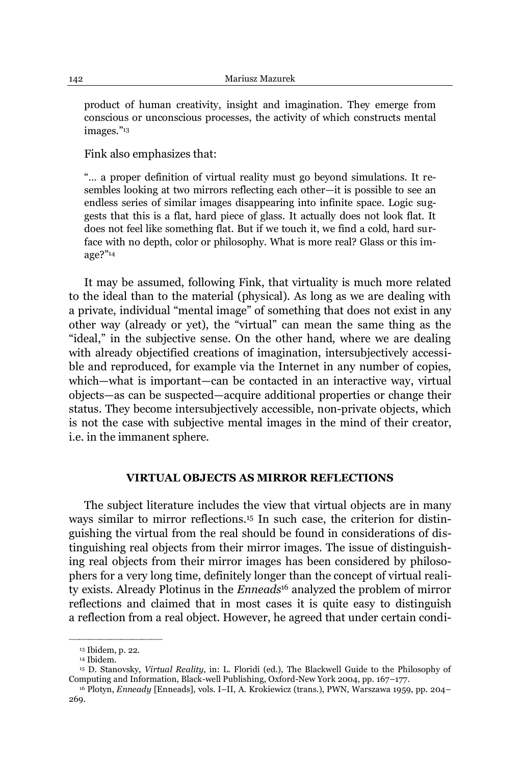product of human creativity, insight and imagination. They emerge from conscious or unconscious processes, the activity of which constructs mental images."13

Fink also emphasizes that:

"... a proper definition of virtual reality must go beyond simulations. It resembles looking at two mirrors reflecting each other—it is possible to see an endless series of similar images disappearing into infinite space. Logic suggests that this is a flat, hard piece of glass. It actually does not look flat. It does not feel like something flat. But if we touch it, we find a cold, hard surface with no depth, color or philosophy. What is more real? Glass or this image?´<sup>14</sup>

It may be assumed, following Fink, that virtuality is much more related to the ideal than to the material (physical). As long as we are dealing with a private, individual "mental image" of something that does not exist in any other way (already or yet), the "virtual" can mean the same thing as the "ideal," in the subjective sense. On the other hand, where we are dealing with already objectified creations of imagination, intersubjectively accessible and reproduced, for example via the Internet in any number of copies, which—what is important—can be contacted in an interactive way, virtual objects—as can be suspected—acquire additional properties or change their status. They become intersubjectively accessible, non-private objects, which is not the case with subjective mental images in the mind of their creator, i.e. in the immanent sphere.

#### **VIRTUAL OBJECTS AS MIRROR REFLECTIONS**

The subject literature includes the view that virtual objects are in many ways similar to mirror reflections.<sup>15</sup> In such case, the criterion for distinguishing the virtual from the real should be found in considerations of distinguishing real objects from their mirror images. The issue of distinguishing real objects from their mirror images has been considered by philosophers for a very long time, definitely longer than the concept of virtual reality exists. Already Plotinus in the *Enneads*<sup>16</sup> analyzed the problem of mirror reflections and claimed that in most cases it is quite easy to distinguish a reflection from a real object. However, he agreed that under certain condi-

<sup>13</sup> Ibidem, p. 22.

<sup>14</sup> Ibidem.

<sup>15</sup> D. Stanovsky, *Virtual Reality*, in: L. Floridi (ed.), The Blackwell Guide to the Philosophy of Computing and Information, Black-well Publishing, Oxford-New York 2004, pp. 167-177.

<sup>&</sup>lt;sup>16</sup> Plotyn, *Enneady* [Enneads], vols. I–II, A. Krokiewicz (trans.), PWN, Warszawa 1959, pp. 204– 269.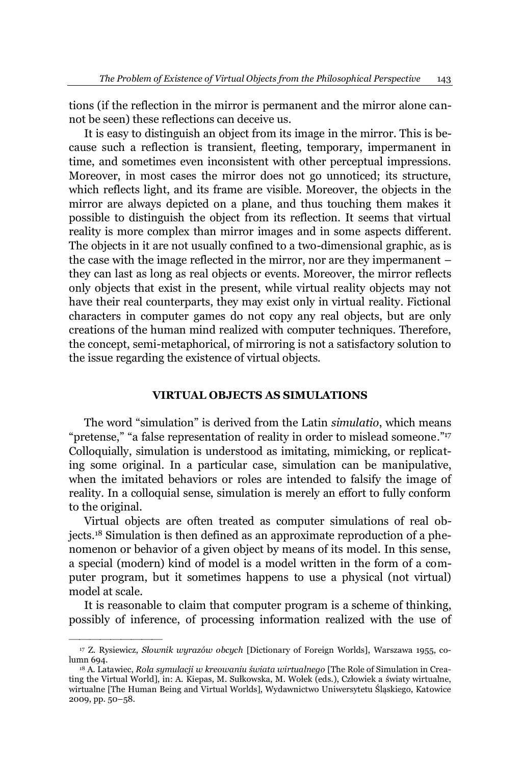tions (if the reflection in the mirror is permanent and the mirror alone cannot be seen) these reflections can deceive us.

It is easy to distinguish an object from its image in the mirror. This is because such a reflection is transient, fleeting, temporary, impermanent in time, and sometimes even inconsistent with other perceptual impressions. Moreover, in most cases the mirror does not go unnoticed; its structure, which reflects light, and its frame are visible. Moreover, the objects in the mirror are always depicted on a plane, and thus touching them makes it possible to distinguish the object from its reflection. It seems that virtual reality is more complex than mirror images and in some aspects different. The objects in it are not usually confined to a two-dimensional graphic, as is the case with the image reflected in the mirror, nor are they impermanent  $$ they can last as long as real objects or events. Moreover, the mirror reflects only objects that exist in the present, while virtual reality objects may not have their real counterparts, they may exist only in virtual reality. Fictional characters in computer games do not copy any real objects, but are only creations of the human mind realized with computer techniques. Therefore, the concept, semi-metaphorical, of mirroring is not a satisfactory solution to the issue regarding the existence of virtual objects.

## **VIRTUAL OBJECTS AS SIMULATIONS**

The word "simulation" is derived from the Latin *simulatio*, which means "pretense," "a false representation of reality in order to mislead someone."<sup>17</sup> Colloquially, simulation is understood as imitating, mimicking, or replicating some original. In a particular case, simulation can be manipulative, when the imitated behaviors or roles are intended to falsify the image of reality. In a colloquial sense, simulation is merely an effort to fully conform to the original.

Virtual objects are often treated as computer simulations of real objects. <sup>18</sup> Simulation is then defined as an approximate reproduction of a phenomenon or behavior of a given object by means of its model. In this sense, a special (modern) kind of model is a model written in the form of a computer program, but it sometimes happens to use a physical (not virtual) model at scale.

It is reasonable to claim that computer program is a scheme of thinking, possibly of inference, of processing information realized with the use of

<sup>&</sup>lt;sup>17</sup> Z. Rysiewicz, *Słownik wyrazów obcych* [Dictionary of Foreign Worlds], Warszawa 1955, column 694.

<sup>&</sup>lt;sup>18</sup> A. Latawiec, *Rola symulacji w kreowaniu świata wirtualnego* [The Role of Simulation in Creating the Virtual World], in: A. Kiepas, M. Sułkowska, M. Wołek (eds.), Człowiek a światy wirtualne, wirtualne [The Human Being and Virtual Worlds], Wydawnictwo Uniwersytetu Śląskiego, Katowice 2009, pp. 50-58.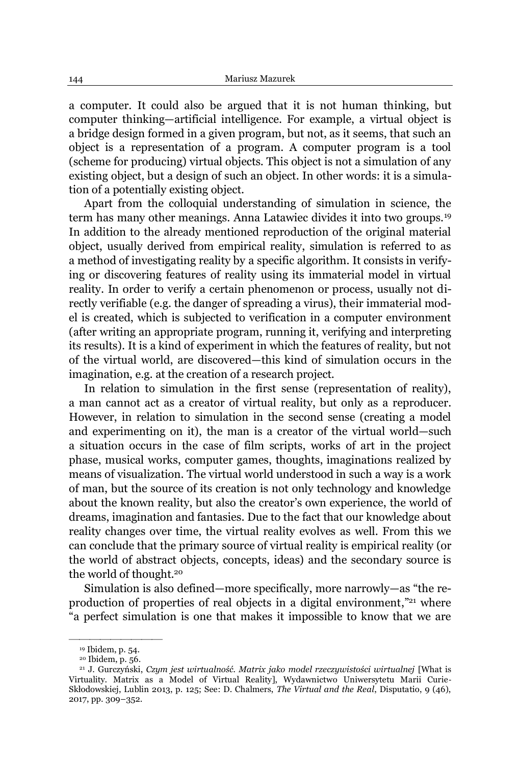a computer. It could also be argued that it is not human thinking, but computer thinking—artificial intelligence. For example, a virtual object is a bridge design formed in a given program, but not, as it seems, that such an object is a representation of a program. A computer program is a tool (scheme for producing) virtual objects. This object is not a simulation of any existing object, but a design of such an object. In other words: it is a simulation of a potentially existing object.

Apart from the colloquial understanding of simulation in science, the term has many other meanings. Anna Latawiec divides it into two groups.19 In addition to the already mentioned reproduction of the original material object, usually derived from empirical reality, simulation is referred to as a method of investigating reality by a specific algorithm. It consists in verifying or discovering features of reality using its immaterial model in virtual reality. In order to verify a certain phenomenon or process, usually not directly verifiable (e.g. the danger of spreading a virus), their immaterial model is created, which is subjected to verification in a computer environment (after writing an appropriate program, running it, verifying and interpreting its results). It is a kind of experiment in which the features of reality, but not of the virtual world, are discovered—this kind of simulation occurs in the imagination, e.g. at the creation of a research project.

In relation to simulation in the first sense (representation of reality), a man cannot act as a creator of virtual reality, but only as a reproducer. However, in relation to simulation in the second sense (creating a model and experimenting on it), the man is a creator of the virtual world—such a situation occurs in the case of film scripts, works of art in the project phase, musical works, computer games, thoughts, imaginations realized by means of visualization. The virtual world understood in such a way is a work of man, but the source of its creation is not only technology and knowledge about the known reality, but also the creator's own experience, the world of dreams, imagination and fantasies. Due to the fact that our knowledge about reality changes over time, the virtual reality evolves as well. From this we can conclude that the primary source of virtual reality is empirical reality (or the world of abstract objects, concepts, ideas) and the secondary source is the world of thought.20

Simulation is also defined—more specifically, more narrowly—as "the reproduction of properties of real objects in a digital environment,"<sup>21</sup> where "a perfect simulation is one that makes it impossible to know that we are

²²²²²²²²² <sup>19</sup> Ibidem, p. 54.

<sup>20</sup> Ibidem, p. 56.

<sup>&</sup>lt;sup>21</sup> J. Gurczyński, Czym jest wirtualność. Matrix jako model rzeczywistości wirtualnej [What is Virtuality. Matrix as a Model of Virtual Reality], Wydawnictwo Uniwersytetu Marii Curie-Skłodowskiej, Lublin 2013, p. 125; See: D. Chalmers, *The Virtual and the Real*, Disputatio, 9 (46), 2017, pp. 309-352.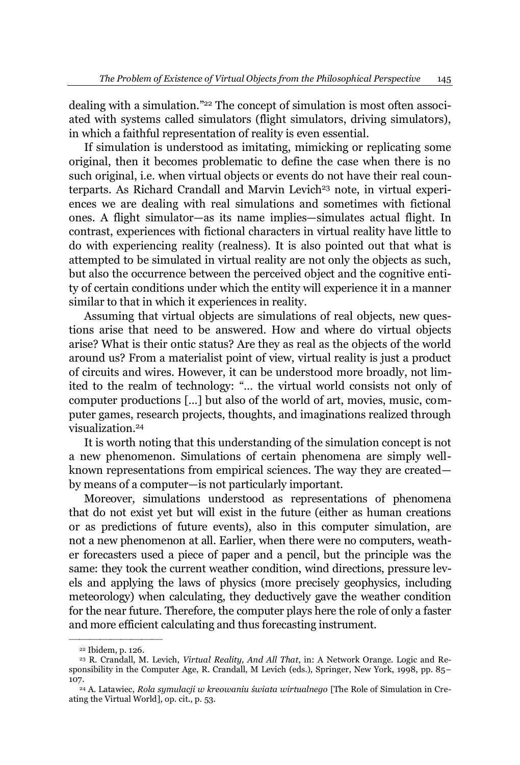dealing with a simulation.<sup>"22</sup> The concept of simulation is most often associated with systems called simulators (flight simulators, driving simulators), in which a faithful representation of reality is even essential.

If simulation is understood as imitating, mimicking or replicating some original, then it becomes problematic to define the case when there is no such original, i.e. when virtual objects or events do not have their real counterparts. As Richard Crandall and Marvin Levich<sup>23</sup> note, in virtual experiences we are dealing with real simulations and sometimes with fictional ones. A flight simulator—as its name implies—simulates actual flight. In contrast, experiences with fictional characters in virtual reality have little to do with experiencing reality (realness). It is also pointed out that what is attempted to be simulated in virtual reality are not only the objects as such, but also the occurrence between the perceived object and the cognitive entity of certain conditions under which the entity will experience it in a manner similar to that in which it experiences in reality.

Assuming that virtual objects are simulations of real objects, new questions arise that need to be answered. How and where do virtual objects arise? What is their ontic status? Are they as real as the objects of the world around us? From a materialist point of view, virtual reality is just a product of circuits and wires. However, it can be understood more broadly, not limited to the realm of technology: "... the virtual world consists not only of computer productions  $[\dots]$  but also of the world of art, movies, music, computer games, research projects, thoughts, and imaginations realized through visualization.24

It is worth noting that this understanding of the simulation concept is not a new phenomenon. Simulations of certain phenomena are simply wellknown representations from empirical sciences. The way they are created by means of a computer-is not particularly important.

Moreover, simulations understood as representations of phenomena that do not exist yet but will exist in the future (either as human creations or as predictions of future events), also in this computer simulation, are not a new phenomenon at all. Earlier, when there were no computers, weather forecasters used a piece of paper and a pencil, but the principle was the same: they took the current weather condition, wind directions, pressure levels and applying the laws of physics (more precisely geophysics, including meteorology) when calculating, they deductively gave the weather condition for the near future. Therefore, the computer plays here the role of only a faster and more efficient calculating and thus forecasting instrument.

²²²²²²²²² <sup>22</sup> Ibidem, p. 126.

<sup>23</sup> R. Crandall, M. Levich, *Virtual Reality, And All That*, in: A Network Orange. Logic and Responsibility in the Computer Age, R. Crandall, M Levich (eds.), Springer, New York, 1998, pp. 85– 107.<br><sup>24</sup> A. Latawiec, *Rola symulacji w kreowaniu świata wirtualnego* [The Role of Simulation in Cre-

ating the Virtual World], op. cit., p. 53.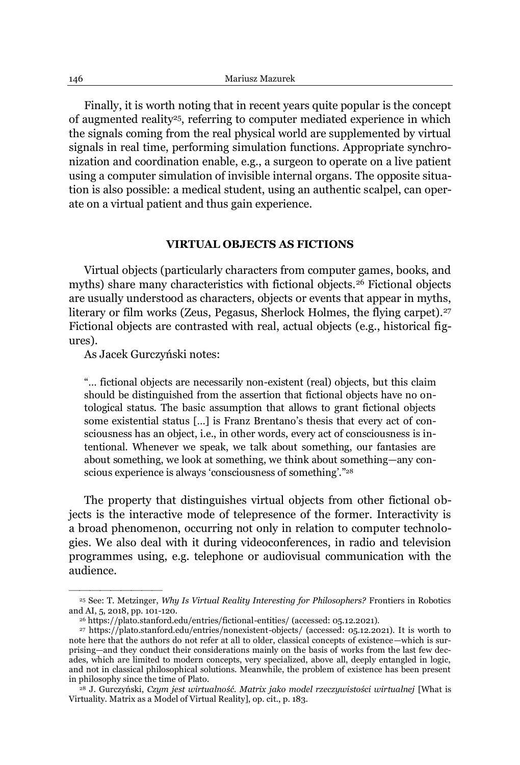Finally, it is worth noting that in recent years quite popular is the concept of augmented reality<sup>25</sup>, referring to computer mediated experience in which the signals coming from the real physical world are supplemented by virtual signals in real time, performing simulation functions. Appropriate synchronization and coordination enable, e.g., a surgeon to operate on a live patient using a computer simulation of invisible internal organs. The opposite situation is also possible: a medical student, using an authentic scalpel, can operate on a virtual patient and thus gain experience.

#### **VIRTUAL OBJECTS AS FICTIONS**

Virtual objects (particularly characters from computer games, books, and myths) share many characteristics with fictional objects.<sup>26</sup> Fictional objects are usually understood as characters, objects or events that appear in myths, literary or film works (Zeus, Pegasus, Sherlock Holmes, the flying carpet).<sup>27</sup> Fictional objects are contrasted with real, actual objects (e.g., historical figures).

As Jacek Gurczyński notes:

²²²²²²²²²

"... fictional objects are necessarily non-existent (real) objects, but this claim should be distinguished from the assertion that fictional objects have no ontological status. The basic assumption that allows to grant fictional objects some existential status [...] is Franz Brentano's thesis that every act of consciousness has an object, i.e., in other words, every act of consciousness is intentional. Whenever we speak, we talk about something, our fantasies are about something, we look at something, we think about something—any conscious experience is always 'consciousness of something'."28

The property that distinguishes virtual objects from other fictional objects is the interactive mode of telepresence of the former. Interactivity is a broad phenomenon, occurring not only in relation to computer technologies. We also deal with it during videoconferences, in radio and television programmes using, e.g. telephone or audiovisual communication with the audience.

<sup>25</sup> See: T. Metzinger, *Why Is Virtual Reality Interesting for Philosophers?* Frontiers in Robotics and AI, 5, 2018, pp. 101-120.

<sup>26</sup> https://plato.stanford.edu/entries/fictional-entities/ (accessed: 05.12.2021).

<sup>27</sup> https://plato.stanford.edu/entries/nonexistent-objects/ (accessed: 05.12.2021). It is worth to note here that the authors do not refer at all to older, classical concepts of existence—which is surprising—and they conduct their considerations mainly on the basis of works from the last few decades, which are limited to modern concepts, very specialized, above all, deeply entangled in logic, and not in classical philosophical solutions. Meanwhile, the problem of existence has been present in philosophy since the time of Plato.

<sup>&</sup>lt;sup>28</sup> J. Gurczyński, Czym jest wirtualność. Matrix jako model rzeczywistości wirtualnej [What is Virtuality. Matrix as a Model of Virtual Reality], op. cit., p. 183.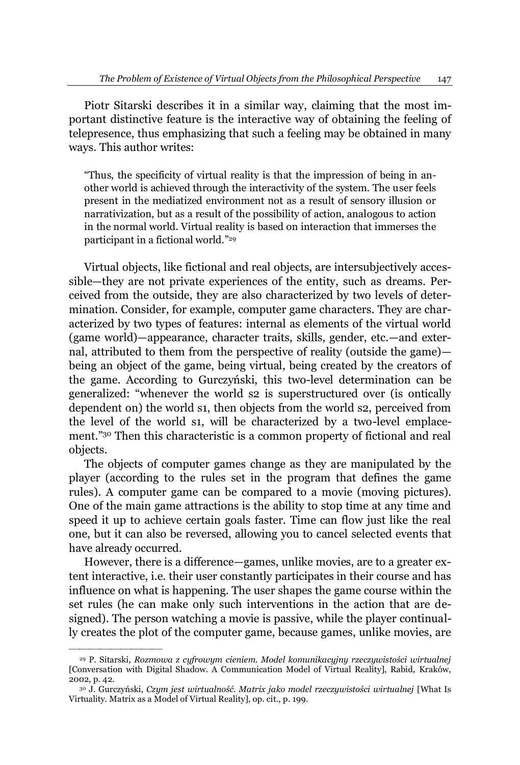Piotr Sitarski describes it in a similar way, claiming that the most important distinctive feature is the interactive way of obtaining the feeling of telepresence, thus emphasizing that such a feeling may be obtained in many ways. This author writes:

³Thus, the specificity of virtual reality is that the impression of being in another world is achieved through the interactivity of the system. The user feels present in the mediatized environment not as a result of sensory illusion or narrativization, but as a result of the possibility of action, analogous to action in the normal world. Virtual reality is based on interaction that immerses the participant in a fictional world."29

Virtual objects, like fictional and real objects, are intersubjectively accessible-they are not private experiences of the entity, such as dreams. Perceived from the outside, they are also characterized by two levels of determination. Consider, for example, computer game characters. They are characterized by two types of features: internal as elements of the virtual world (game world)—appearance, character traits, skills, gender, etc.—and external, attributed to them from the perspective of reality (outside the game) $$ being an object of the game, being virtual, being created by the creators of the game. According to Gurczyński, this two-level determination can be generalized: "whenever the world s2 is superstructured over (is ontically dependent on) the world s1, then objects from the world s2, perceived from the level of the world s1, will be characterized by a two-level emplacement."<sup>30</sup> Then this characteristic is a common property of fictional and real objects.

The objects of computer games change as they are manipulated by the player (according to the rules set in the program that defines the game rules). A computer game can be compared to a movie (moving pictures). One of the main game attractions is the ability to stop time at any time and speed it up to achieve certain goals faster. Time can flow just like the real one, but it can also be reversed, allowing you to cancel selected events that have already occurred.

However, there is a difference—games, unlike movies, are to a greater extent interactive, i.e. their user constantly participates in their course and has influence on what is happening. The user shapes the game course within the set rules (he can make only such interventions in the action that are designed). The person watching a movie is passive, while the player continually creates the plot of the computer game, because games, unlike movies, are

<sup>&</sup>lt;sup>29</sup> P. Sitarski, *Rozmowa z cyfrowym cieniem. Model komunikacyjny rzeczywistości wirtualnej* [Conversation with Digital Shadow. A Communication Model of Virtual Reality], Rabid, Kraków, 2002, p. 42.

<sup>&</sup>lt;sup>30</sup> J. Gurczyński, *Czym jest wirtualność. Matrix jako model rzeczywistości wirtualnej [What Is* Virtuality. Matrix as a Model of Virtual Reality], op. cit., p. 199.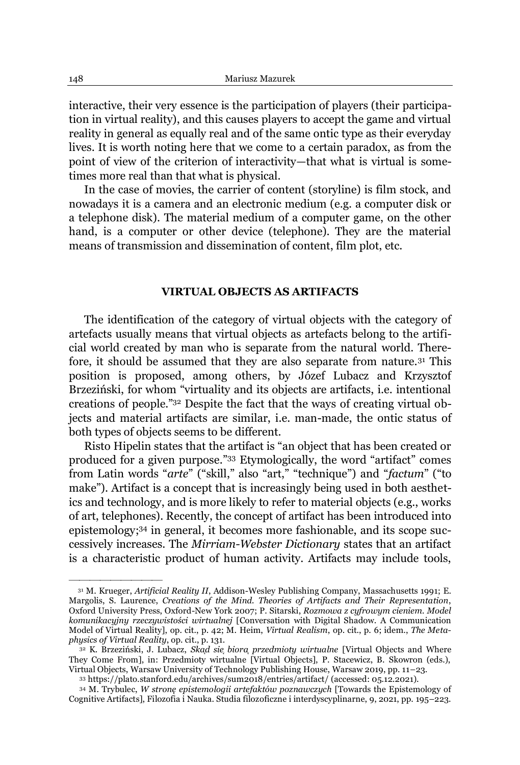interactive, their very essence is the participation of players (their participation in virtual reality), and this causes players to accept the game and virtual reality in general as equally real and of the same ontic type as their everyday lives. It is worth noting here that we come to a certain paradox, as from the point of view of the criterion of interactivity-that what is virtual is sometimes more real than that what is physical.

In the case of movies, the carrier of content (storyline) is film stock, and nowadays it is a camera and an electronic medium (e.g. a computer disk or a telephone disk). The material medium of a computer game, on the other hand, is a computer or other device (telephone). They are the material means of transmission and dissemination of content, film plot, etc.

# **VIRTUAL OBJECTS AS ARTIFACTS**

The identification of the category of virtual objects with the category of artefacts usually means that virtual objects as artefacts belong to the artificial world created by man who is separate from the natural world. Therefore, it should be assumed that they are also separate from nature.31 This position is proposed, among others, by Józef Lubacz and Krzysztof Brzeziński, for whom "virtuality and its objects are artifacts, i.e. intentional creations of people."32 Despite the fact that the ways of creating virtual objects and material artifacts are similar, i.e. man-made, the ontic status of both types of objects seems to be different.

Risto Hipelin states that the artifact is "an object that has been created or produced for a given purpose."33 Etymologically, the word "artifact" comes from Latin words "arte" ("skill," also "art," "technique") and "factum" ("to make"). Artifact is a concept that is increasingly being used in both aesthetics and technology, and is more likely to refer to material objects (e.g., works of art, telephones). Recently, the concept of artifact has been introduced into epistemology; <sup>34</sup> in general, it becomes more fashionable, and its scope successively increases. The *Mirriam-Webster Dictionary* states that an artifact is a characteristic product of human activity. Artifacts may include tools,

<sup>33</sup> https://plato.stanford.edu/archives/sum2018/entries/artifact/ (accessed: 05.12.2021).

<sup>31</sup> M. Krueger, *Artificial Reality II*, Addison-Wesley Publishing Company, Massachusetts 1991; E. Margolis, S. Laurence, *Creations of the Mind. Theories of Artifacts and Their Representation*, Oxford University Press, Oxford-New York 2007; P. Sitarski, *Rozmowa z cyfrowym cieniem. Model*  komunikacyjny rzeczywistości wirtualnej [Conversation with Digital Shadow. A Communication Model of Virtual Reality], op. cit., p. 42; M. Heim, *Virtual Realism*, op. cit., p. 6; idem., *The Metaphysics of Virtual Reality*, op. cit., p. 131.

<sup>&</sup>lt;sup>32</sup> K. Brzeziński, J. Lubacz, *Skad sie biora przedmioty wirtualne* [Virtual Objects and Where They Come From], in: Przedmioty wirtualne [Virtual Objects], P. Stacewicz, B. Skowron (eds.), Virtual Objects, Warsaw University of Technology Publishing House, Warsaw 2019, pp. 11-23.

<sup>&</sup>lt;sup>34</sup> M. Trybulec, *W stronę epistemologii artefaktów poznawczych* [Towards the Epistemology of Cognitive Artifacts], Filozofia i Nauka. Studia filozoficzne i interdyscyplinarne, 9, 2021, pp. 195±223.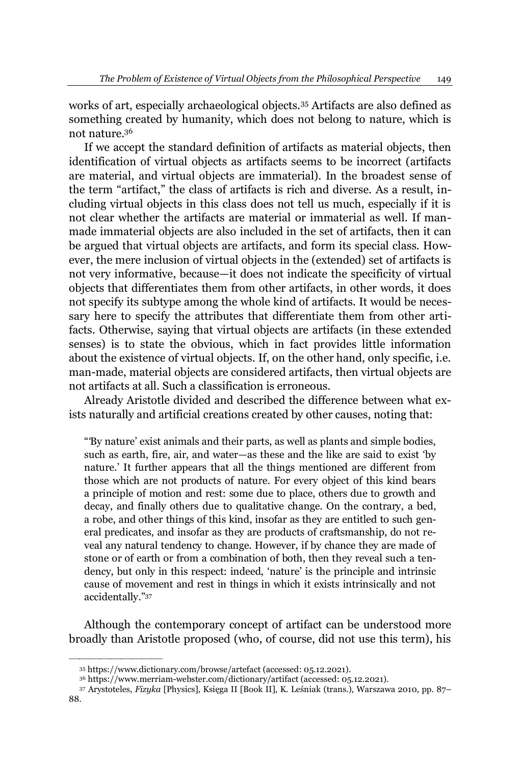works of art, especially archaeological objects.35 Artifacts are also defined as something created by humanity, which does not belong to nature, which is not nature.36

If we accept the standard definition of artifacts as material objects, then identification of virtual objects as artifacts seems to be incorrect (artifacts are material, and virtual objects are immaterial). In the broadest sense of the term "artifact," the class of artifacts is rich and diverse. As a result, including virtual objects in this class does not tell us much, especially if it is not clear whether the artifacts are material or immaterial as well. If manmade immaterial objects are also included in the set of artifacts, then it can be argued that virtual objects are artifacts, and form its special class. However, the mere inclusion of virtual objects in the (extended) set of artifacts is not very informative, because—it does not indicate the specificity of virtual objects that differentiates them from other artifacts, in other words, it does not specify its subtype among the whole kind of artifacts. It would be necessary here to specify the attributes that differentiate them from other artifacts. Otherwise, saying that virtual objects are artifacts (in these extended senses) is to state the obvious, which in fact provides little information about the existence of virtual objects. If, on the other hand, only specific, i.e. man-made, material objects are considered artifacts, then virtual objects are not artifacts at all. Such a classification is erroneous.

Already Aristotle divided and described the difference between what exists naturally and artificial creations created by other causes, noting that:

"By nature' exist animals and their parts, as well as plants and simple bodies, such as earth, fire, air, and water—as these and the like are said to exist 'by nature.' It further appears that all the things mentioned are different from those which are not products of nature. For every object of this kind bears a principle of motion and rest: some due to place, others due to growth and decay, and finally others due to qualitative change. On the contrary, a bed, a robe, and other things of this kind, insofar as they are entitled to such general predicates, and insofar as they are products of craftsmanship, do not reveal any natural tendency to change. However, if by chance they are made of stone or of earth or from a combination of both, then they reveal such a tendency, but only in this respect: indeed, 'nature' is the principle and intrinsic cause of movement and rest in things in which it exists intrinsically and not accidentally."37

Although the contemporary concept of artifact can be understood more broadly than Aristotle proposed (who, of course, did not use this term), his

<sup>35</sup> https://www.dictionary.com/browse/artefact (accessed: 05.12.2021).

<sup>36</sup> https://www.merriam-webster.com/dictionary/artifact (accessed: 05.12.2021).

<sup>37</sup> Arystoteles, *Fizyka* [Physics], Księga II [Book II], K. Leśniak (trans.), Warszawa 2010, pp. 87–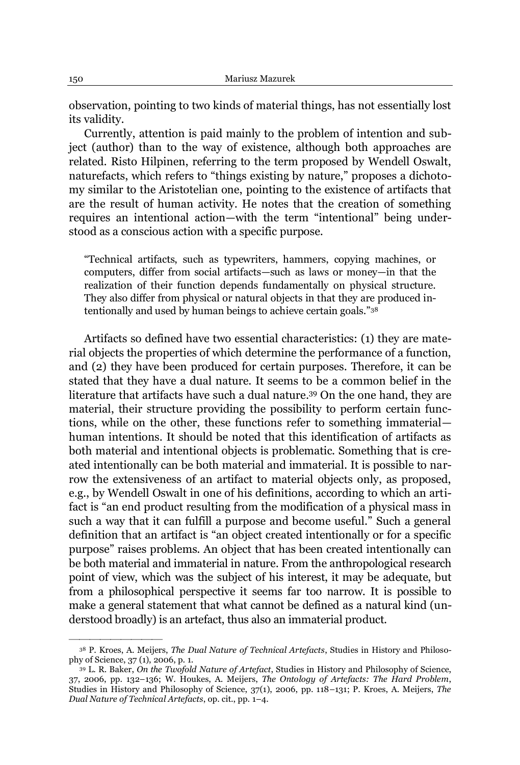observation, pointing to two kinds of material things, has not essentially lost its validity.

Currently, attention is paid mainly to the problem of intention and subject (author) than to the way of existence, although both approaches are related. Risto Hilpinen, referring to the term proposed by Wendell Oswalt, naturefacts, which refers to "things existing by nature," proposes a dichotomy similar to the Aristotelian one, pointing to the existence of artifacts that are the result of human activity. He notes that the creation of something requires an intentional action—with the term "intentional" being understood as a conscious action with a specific purpose.

"Technical artifacts, such as typewriters, hammers, copying machines, or computers, differ from social artifacts-such as laws or money-in that the realization of their function depends fundamentally on physical structure. They also differ from physical or natural objects in that they are produced intentionally and used by human beings to achieve certain goals."38

Artifacts so defined have two essential characteristics: (1) they are material objects the properties of which determine the performance of a function, and (2) they have been produced for certain purposes. Therefore, it can be stated that they have a dual nature. It seems to be a common belief in the literature that artifacts have such a dual nature. <sup>39</sup> On the one hand, they are material, their structure providing the possibility to perform certain functions, while on the other, these functions refer to something immaterial human intentions. It should be noted that this identification of artifacts as both material and intentional objects is problematic. Something that is created intentionally can be both material and immaterial. It is possible to narrow the extensiveness of an artifact to material objects only, as proposed, e.g., by Wendell Oswalt in one of his definitions, according to which an artifact is "an end product resulting from the modification of a physical mass in such a way that it can fulfill a purpose and become useful." Such a general definition that an artifact is "an object created intentionally or for a specific purpose" raises problems. An object that has been created intentionally can be both material and immaterial in nature. From the anthropological research point of view, which was the subject of his interest, it may be adequate, but from a philosophical perspective it seems far too narrow. It is possible to make a general statement that what cannot be defined as a natural kind (understood broadly) is an artefact, thus also an immaterial product.

<sup>38</sup> P. Kroes, A. Meijers, *The Dual Nature of Technical Artefacts*, Studies in History and Philosophy of Science, 37 (1), 2006, p. 1.

<sup>39</sup> L. R. Baker, *On the Twofold Nature of Artefact*, Studies in History and Philosophy of Science, 37, 2006, pp. 132-136; W. Houkes, A. Meijers, *The Ontology of Artefacts: The Hard Problem*, Studies in History and Philosophy of Science, 37(1), 2006, pp. 118-131; P. Kroes, A. Meijers, *The Dual Nature of Technical Artefacts*, op. cit., pp. 1-4.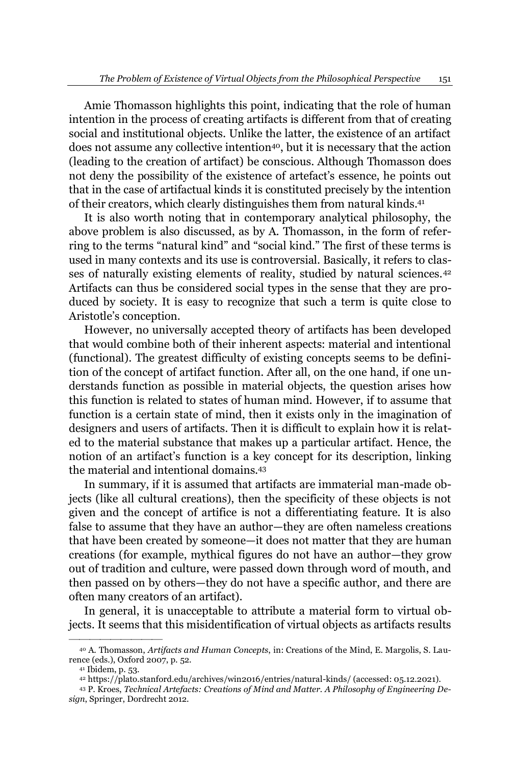Amie Thomasson highlights this point, indicating that the role of human intention in the process of creating artifacts is different from that of creating social and institutional objects. Unlike the latter, the existence of an artifact does not assume any collective intention<sup>40</sup>, but it is necessary that the action (leading to the creation of artifact) be conscious. Although Thomasson does not deny the possibility of the existence of artefact's essence, he points out that in the case of artifactual kinds it is constituted precisely by the intention of their creators, which clearly distinguishes them from natural kinds.<sup>41</sup>

It is also worth noting that in contemporary analytical philosophy, the above problem is also discussed, as by A. Thomasson, in the form of referring to the terms "natural kind" and "social kind." The first of these terms is used in many contexts and its use is controversial. Basically, it refers to classes of naturally existing elements of reality, studied by natural sciences.<sup>42</sup> Artifacts can thus be considered social types in the sense that they are produced by society. It is easy to recognize that such a term is quite close to Aristotle's conception.

However, no universally accepted theory of artifacts has been developed that would combine both of their inherent aspects: material and intentional (functional). The greatest difficulty of existing concepts seems to be definition of the concept of artifact function. After all, on the one hand, if one understands function as possible in material objects, the question arises how this function is related to states of human mind. However, if to assume that function is a certain state of mind, then it exists only in the imagination of designers and users of artifacts. Then it is difficult to explain how it is related to the material substance that makes up a particular artifact. Hence, the notion of an artifact's function is a key concept for its description, linking the material and intentional domains.43

In summary, if it is assumed that artifacts are immaterial man-made objects (like all cultural creations), then the specificity of these objects is not given and the concept of artifice is not a differentiating feature. It is also false to assume that they have an author—they are often nameless creations that have been created by someone-it does not matter that they are human creations (for example, mythical figures do not have an author-they grow out of tradition and culture, were passed down through word of mouth, and then passed on by others—they do not have a specific author, and there are often many creators of an artifact).

In general, it is unacceptable to attribute a material form to virtual objects. It seems that this misidentification of virtual objects as artifacts results

<sup>40</sup> A. Thomasson, *Artifacts and Human Concepts*, in: Creations of the Mind, E. Margolis, S. Laurence (eds.), Oxford 2007, p. 52.

<sup>41</sup> Ibidem, p. 53.

<sup>42</sup> https://plato.stanford.edu/archives/win2016/entries/natural-kinds/ (accessed: 05.12.2021).

<sup>43</sup> P. Kroes, *Technical Artefacts: Creations of Mind and Matter. A Philosophy of Engineering Design*, Springer, Dordrecht 2012.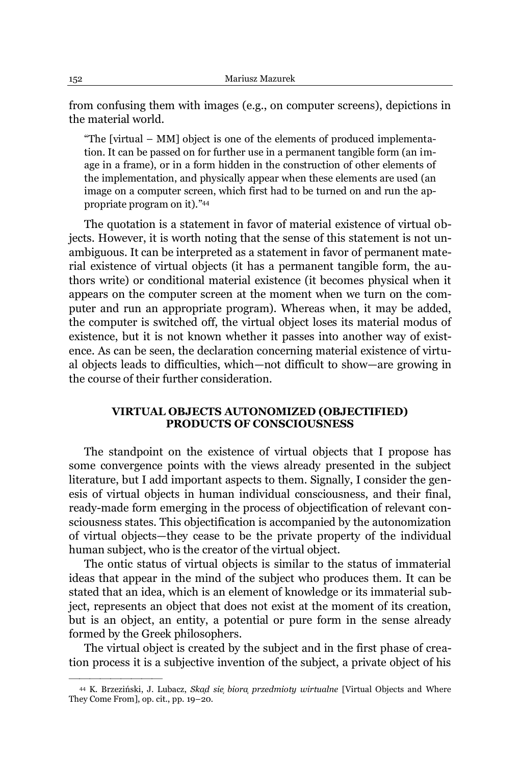from confusing them with images (e.g., on computer screens), depictions in the material world.

"The [virtual  $-MM$ ] object is one of the elements of produced implementation. It can be passed on for further use in a permanent tangible form (an image in a frame), or in a form hidden in the construction of other elements of the implementation, and physically appear when these elements are used (an image on a computer screen, which first had to be turned on and run the appropriate program on it)."44

The quotation is a statement in favor of material existence of virtual objects. However, it is worth noting that the sense of this statement is not unambiguous. It can be interpreted as a statement in favor of permanent material existence of virtual objects (it has a permanent tangible form, the authors write) or conditional material existence (it becomes physical when it appears on the computer screen at the moment when we turn on the computer and run an appropriate program). Whereas when, it may be added, the computer is switched off, the virtual object loses its material modus of existence, but it is not known whether it passes into another way of existence. As can be seen, the declaration concerning material existence of virtual objects leads to difficulties, which-not difficult to show-are growing in the course of their further consideration.

# **VIRTUAL OBJECTS AUTONOMIZED (OBJECTIFIED) PRODUCTS OF CONSCIOUSNESS**

The standpoint on the existence of virtual objects that I propose has some convergence points with the views already presented in the subject literature, but I add important aspects to them. Signally, I consider the genesis of virtual objects in human individual consciousness, and their final, ready-made form emerging in the process of objectification of relevant consciousness states. This objectification is accompanied by the autonomization of virtual objects—they cease to be the private property of the individual human subject, who is the creator of the virtual object.

The ontic status of virtual objects is similar to the status of immaterial ideas that appear in the mind of the subject who produces them. It can be stated that an idea, which is an element of knowledge or its immaterial subject, represents an object that does not exist at the moment of its creation, but is an object, an entity, a potential or pure form in the sense already formed by the Greek philosophers.

The virtual object is created by the subject and in the first phase of creation process it is a subjective invention of the subject, a private object of his

<sup>44</sup> K. Brzeziński, J. Lubacz, *Skad sie biora przedmioty wirtualne* [Virtual Objects and Where They Come From], op. cit., pp.  $19-20$ .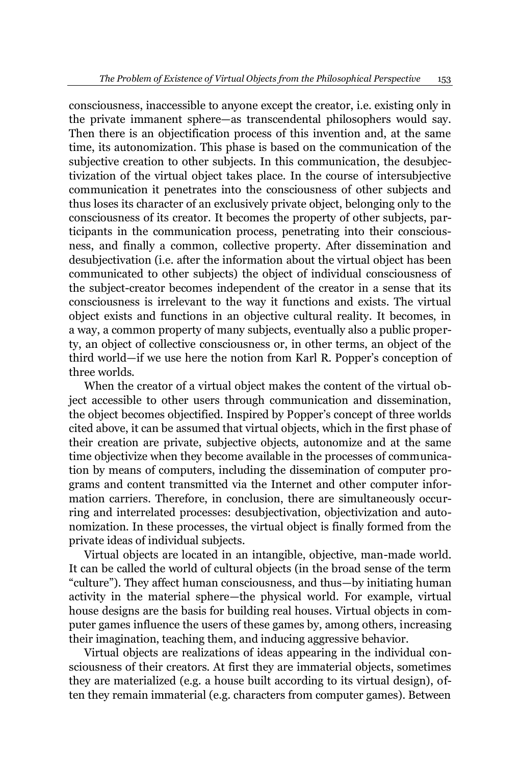consciousness, inaccessible to anyone except the creator, i.e. existing only in the private immanent sphere-as transcendental philosophers would say. Then there is an objectification process of this invention and, at the same time, its autonomization. This phase is based on the communication of the subjective creation to other subjects. In this communication, the desubjectivization of the virtual object takes place. In the course of intersubjective communication it penetrates into the consciousness of other subjects and thus loses its character of an exclusively private object, belonging only to the consciousness of its creator. It becomes the property of other subjects, participants in the communication process, penetrating into their consciousness, and finally a common, collective property. After dissemination and desubjectivation (i.e. after the information about the virtual object has been communicated to other subjects) the object of individual consciousness of the subject-creator becomes independent of the creator in a sense that its consciousness is irrelevant to the way it functions and exists. The virtual object exists and functions in an objective cultural reality. It becomes, in a way, a common property of many subjects, eventually also a public property, an object of collective consciousness or, in other terms, an object of the third world—if we use here the notion from Karl R. Popper's conception of three worlds.

When the creator of a virtual object makes the content of the virtual object accessible to other users through communication and dissemination, the object becomes objectified. Inspired by Popper's concept of three worlds cited above, it can be assumed that virtual objects, which in the first phase of their creation are private, subjective objects, autonomize and at the same time objectivize when they become available in the processes of communication by means of computers, including the dissemination of computer programs and content transmitted via the Internet and other computer information carriers. Therefore, in conclusion, there are simultaneously occurring and interrelated processes: desubjectivation, objectivization and autonomization. In these processes, the virtual object is finally formed from the private ideas of individual subjects.

Virtual objects are located in an intangible, objective, man-made world. It can be called the world of cultural objects (in the broad sense of the term "culture"). They affect human consciousness, and thus—by initiating human activity in the material sphere—the physical world. For example, virtual house designs are the basis for building real houses. Virtual objects in computer games influence the users of these games by, among others, increasing their imagination, teaching them, and inducing aggressive behavior.

Virtual objects are realizations of ideas appearing in the individual consciousness of their creators. At first they are immaterial objects, sometimes they are materialized (e.g. a house built according to its virtual design), often they remain immaterial (e.g. characters from computer games). Between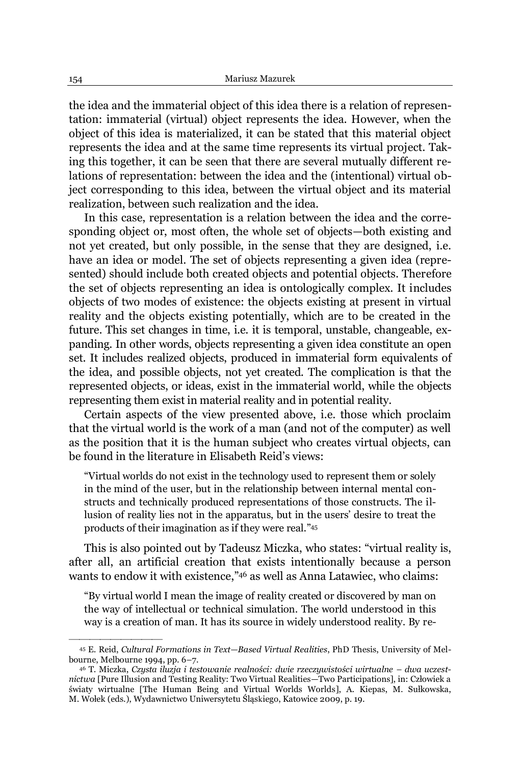the idea and the immaterial object of this idea there is a relation of representation: immaterial (virtual) object represents the idea. However, when the object of this idea is materialized, it can be stated that this material object represents the idea and at the same time represents its virtual project. Taking this together, it can be seen that there are several mutually different relations of representation: between the idea and the (intentional) virtual object corresponding to this idea, between the virtual object and its material realization, between such realization and the idea.

In this case, representation is a relation between the idea and the corresponding object or, most often, the whole set of objects—both existing and not yet created, but only possible, in the sense that they are designed, i.e. have an idea or model. The set of objects representing a given idea (represented) should include both created objects and potential objects. Therefore the set of objects representing an idea is ontologically complex. It includes objects of two modes of existence: the objects existing at present in virtual reality and the objects existing potentially, which are to be created in the future. This set changes in time, i.e. it is temporal, unstable, changeable, expanding. In other words, objects representing a given idea constitute an open set. It includes realized objects, produced in immaterial form equivalents of the idea, and possible objects, not yet created. The complication is that the represented objects, or ideas, exist in the immaterial world, while the objects representing them exist in material reality and in potential reality.

Certain aspects of the view presented above, i.e. those which proclaim that the virtual world is the work of a man (and not of the computer) as well as the position that it is the human subject who creates virtual objects, can be found in the literature in Elisabeth Reid's views:

³Virtual worlds do not exist in the technology used to represent them or solely in the mind of the user, but in the relationship between internal mental constructs and technically produced representations of those constructs. The illusion of reality lies not in the apparatus, but in the users' desire to treat the products of their imagination as if they were real."45

This is also pointed out by Tadeusz Miczka, who states: "virtual reality is, after all, an artificial creation that exists intentionally because a person wants to endow it with existence,"46 as well as Anna Latawiec, who claims:

³By virtual world I mean the image of reality created or discovered by man on the way of intellectual or technical simulation. The world understood in this way is a creation of man. It has its source in widely understood reality. By re-

<sup>45</sup> E. Reid, *Cultural Formations in Text²Based Virtual Realities*, PhD Thesis, University of Melbourne, Melbourne 1994, pp. 6-7.

<sup>46</sup> T. Miczka, Czysta iluzja i testowanie realności: dwie rzeczywistości wirtualne – dwa uczestnictwa [Pure Illusion and Testing Reality: Two Virtual Realities-Two Participations], in: Człowiek a światy wirtualne [The Human Being and Virtual Worlds Worlds], A. Kiepas, M. Sułkowska, M. Wołek (eds.), Wydawnictwo Uniwersytetu Śląskiego, Katowice 2009, p. 19.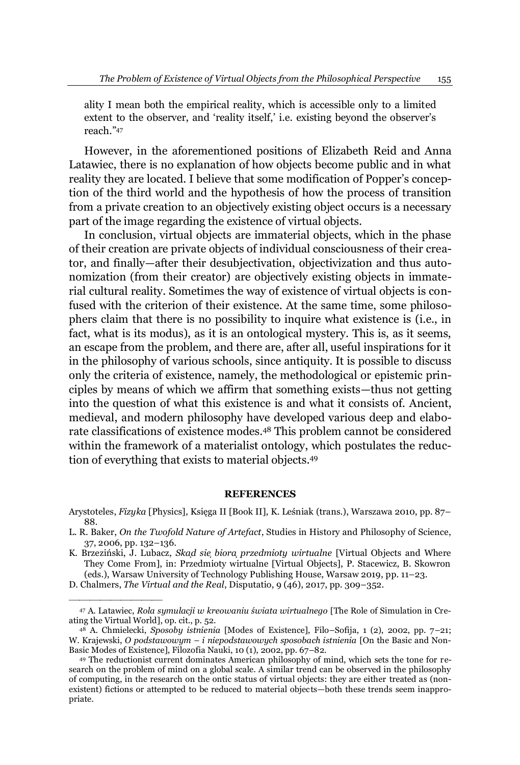ality I mean both the empirical reality, which is accessible only to a limited extent to the observer, and 'reality itself,' i.e. existing beyond the observer's reach."47

However, in the aforementioned positions of Elizabeth Reid and Anna Latawiec, there is no explanation of how objects become public and in what reality they are located. I believe that some modification of Popper's conception of the third world and the hypothesis of how the process of transition from a private creation to an objectively existing object occurs is a necessary part of the image regarding the existence of virtual objects.

In conclusion, virtual objects are immaterial objects, which in the phase of their creation are private objects of individual consciousness of their creator, and finally—after their desubjectivation, objectivization and thus autonomization (from their creator) are objectively existing objects in immaterial cultural reality. Sometimes the way of existence of virtual objects is confused with the criterion of their existence. At the same time, some philosophers claim that there is no possibility to inquire what existence is (i.e., in fact, what is its modus), as it is an ontological mystery. This is, as it seems, an escape from the problem, and there are, after all, useful inspirations for it in the philosophy of various schools, since antiquity. It is possible to discuss only the criteria of existence, namely, the methodological or epistemic principles by means of which we affirm that something exists—thus not getting into the question of what this existence is and what it consists of. Ancient, medieval, and modern philosophy have developed various deep and elaborate classifications of existence modes.48 This problem cannot be considered within the framework of a materialist ontology, which postulates the reduction of everything that exists to material objects.49

#### **REFERENCES**

Arystoteles, *Fizyka* [Physics], Księga II [Book II], K. Leśniak (trans.), Warszawa 2010, pp. 87– 88.

D. Chalmers, *The Virtual and the Real*, Disputatio, 9 (46), 2017, pp. 309-352.

L. R. Baker, *On the Twofold Nature of Artefact*, Studies in History and Philosophy of Science, 37, 2006, pp. 132-136.

K. Brzeziński, J. Lubacz, *Skad sie biora przedmioty wirtualne* [Virtual Objects and Where They Come From], in: Przedmioty wirtualne [Virtual Objects], P. Stacewicz, B. Skowron (eds.), Warsaw University of Technology Publishing House, Warsaw 2019, pp. 11±23.

<sup>&</sup>lt;sup>47</sup> A. Latawiec, *Rola symulacji w kreowaniu świata wirtualnego* [The Role of Simulation in Creating the Virtual World], op. cit., p. 52.

<sup>&</sup>lt;sup>48</sup> A. Chmielecki, *Sposoby istnienia* [Modes of Existence], Filo-Sofija, 1 (2), 2002, pp. 7-21; W. Krajewski, *O podstawowym – i niepodstawowych sposobach istnienia* [On the Basic and Non-Basic Modes of Existence], Filozofia Nauki, 10 (1), 2002, pp. 67-82.

<sup>49</sup> The reductionist current dominates American philosophy of mind, which sets the tone for research on the problem of mind on a global scale. A similar trend can be observed in the philosophy of computing, in the research on the ontic status of virtual objects: they are either treated as (nonexistent) fictions or attempted to be reduced to material objects—both these trends seem inappropriate.